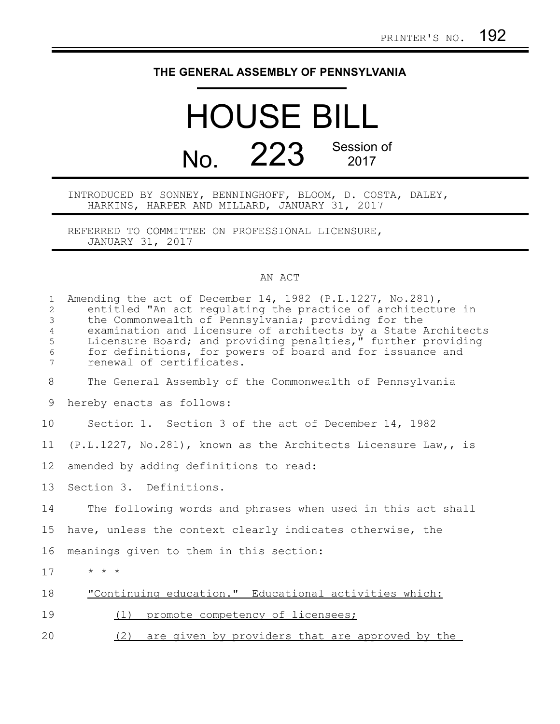## **THE GENERAL ASSEMBLY OF PENNSYLVANIA**

## HOUSE BILL No. 223 Session of

INTRODUCED BY SONNEY, BENNINGHOFF, BLOOM, D. COSTA, DALEY, HARKINS, HARPER AND MILLARD, JANUARY 31, 2017

REFERRED TO COMMITTEE ON PROFESSIONAL LICENSURE, JANUARY 31, 2017

## AN ACT

| $\mathbf{1}$<br>$\overline{2}$<br>3<br>$\overline{4}$<br>5<br>$\epsilon$<br>7 | Amending the act of December 14, 1982 (P.L.1227, No.281),<br>entitled "An act regulating the practice of architecture in<br>the Commonwealth of Pennsylvania; providing for the<br>examination and licensure of architects by a State Architects<br>Licensure Board; and providing penalties," further providing<br>for definitions, for powers of board and for issuance and<br>renewal of certificates. |
|-------------------------------------------------------------------------------|-----------------------------------------------------------------------------------------------------------------------------------------------------------------------------------------------------------------------------------------------------------------------------------------------------------------------------------------------------------------------------------------------------------|
| 8                                                                             | The General Assembly of the Commonwealth of Pennsylvania                                                                                                                                                                                                                                                                                                                                                  |
| 9                                                                             | hereby enacts as follows:                                                                                                                                                                                                                                                                                                                                                                                 |
| 10                                                                            | Section 1. Section 3 of the act of December 14, 1982                                                                                                                                                                                                                                                                                                                                                      |
| 11                                                                            | (P.L.1227, No.281), known as the Architects Licensure Law,, is                                                                                                                                                                                                                                                                                                                                            |
| 12                                                                            | amended by adding definitions to read:                                                                                                                                                                                                                                                                                                                                                                    |
| 13                                                                            | Section 3. Definitions.                                                                                                                                                                                                                                                                                                                                                                                   |
| 14                                                                            | The following words and phrases when used in this act shall                                                                                                                                                                                                                                                                                                                                               |
| 15                                                                            | have, unless the context clearly indicates otherwise, the                                                                                                                                                                                                                                                                                                                                                 |
| 16                                                                            | meanings given to them in this section:                                                                                                                                                                                                                                                                                                                                                                   |
| 17                                                                            | $\star$ $\star$ $\star$                                                                                                                                                                                                                                                                                                                                                                                   |
| 18                                                                            | "Continuing education." Educational activities which:                                                                                                                                                                                                                                                                                                                                                     |
| 19                                                                            | promote competency of licensees;<br>(1)                                                                                                                                                                                                                                                                                                                                                                   |
| 20                                                                            | (2)<br>are given by providers that are approved by the                                                                                                                                                                                                                                                                                                                                                    |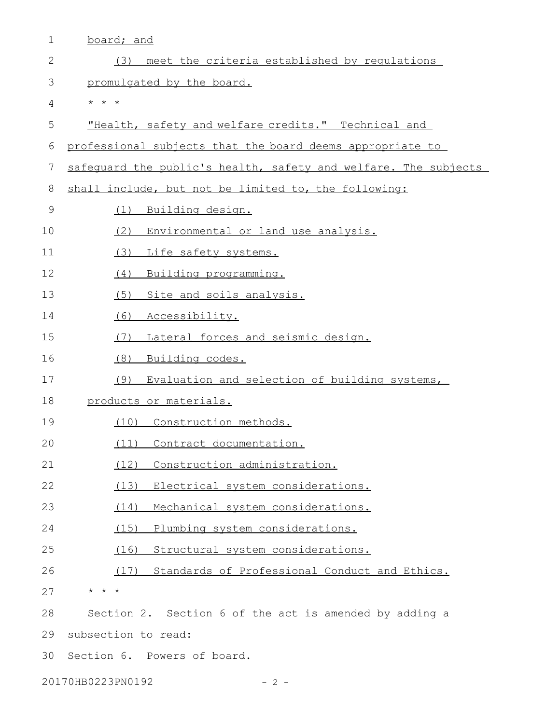| $\mathbf 1$                | board; and                                                      |  |
|----------------------------|-----------------------------------------------------------------|--|
| $\mathbf{2}$               | meet the criteria established by requlations<br>(3)             |  |
| 3                          | promulgated by the board.                                       |  |
| 4                          | $\star$ $\star$ $\star$                                         |  |
| 5                          | "Health, safety and welfare credits." Technical and             |  |
| 6                          | professional subjects that the board deems appropriate to       |  |
| 7                          | safequard the public's health, safety and welfare. The subjects |  |
| $8\,$                      | shall include, but not be limited to, the following:            |  |
| $\mathcal{G}$              | Building design.<br>(1)                                         |  |
| 10                         | (2)<br>Environmental or land use analysis.                      |  |
| 11                         | Life safety systems.<br>(3)                                     |  |
| 12                         | (4)<br>Building programming.                                    |  |
| 13                         | Site and soils analysis.<br>(5)                                 |  |
| 14                         | (6)<br>Accessibility.                                           |  |
| 15                         | Lateral forces and seismic design.<br>(7)                       |  |
| 16                         | (8)<br>Building codes.                                          |  |
| 17                         | Evaluation and selection of building systems,<br>(9)            |  |
| 18                         | products or materials.                                          |  |
| 19                         | (10) Construction methods.                                      |  |
| 20                         | (11) Contract documentation.                                    |  |
| 21                         | Construction administration.<br>(12)                            |  |
| 22                         | (13) Electrical system considerations.                          |  |
| 23                         | Mechanical system considerations.<br>(14)                       |  |
| 24                         | (15)<br>Plumbing system considerations.                         |  |
| 25                         | (16)<br>Structural system considerations.                       |  |
| 26                         | (17) Standards of Professional Conduct and Ethics.              |  |
| 27                         | * * *                                                           |  |
| 28                         | Section 2. Section 6 of the act is amended by adding a          |  |
| 29                         | subsection to read:                                             |  |
| 30                         | Section 6. Powers of board.                                     |  |
| 20170HB0223PN0192<br>- 2 - |                                                                 |  |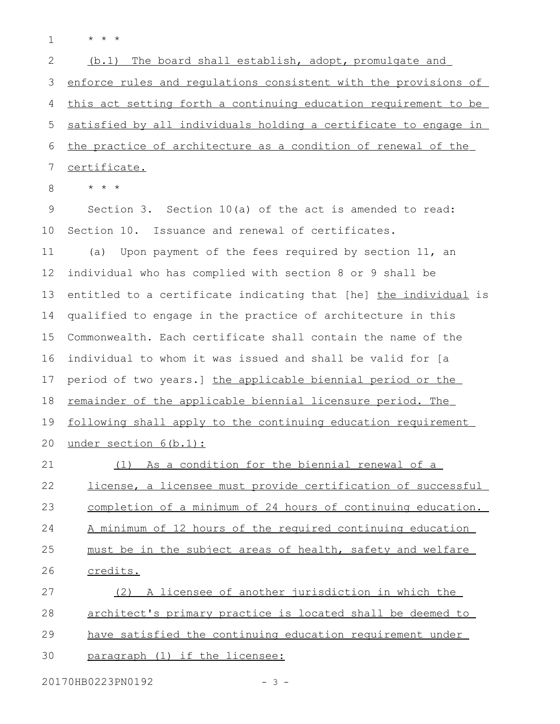\* \* \* 1

 $(b.1)$  The board shall establish, adopt, promulgate and enforce rules and regulations consistent with the provisions of this act setting forth a continuing education requirement to be satisfied by all individuals holding a certificate to engage in the practice of architecture as a condition of renewal of the certificate. 2 3 4 5 6 7

\* \* \* 8

Section 3. Section 10(a) of the act is amended to read: Section 10. Issuance and renewal of certificates. (a) Upon payment of the fees required by section 11, an individual who has complied with section 8 or 9 shall be entitled to a certificate indicating that [he] the individual is qualified to engage in the practice of architecture in this Commonwealth. Each certificate shall contain the name of the individual to whom it was issued and shall be valid for [a period of two years.] the applicable biennial period or the remainder of the applicable biennial licensure period. The following shall apply to the continuing education requirement under section 6(b.1): (1) As a condition for the biennial renewal of a license, a licensee must provide certification of successful completion of a minimum of 24 hours of continuing education. A minimum of 12 hours of the required continuing education must be in the subject areas of health, safety and welfare credits. (2) A licensee of another jurisdiction in which the architect's primary practice is located shall be deemed to have satisfied the continuing education requirement under 9 10 11 12 13 14 15 16 17 18 19 20 21 22 23 24 25 26 27 28 29

paragraph (1) if the licensee: 30

20170HB0223PN0192 - 3 -